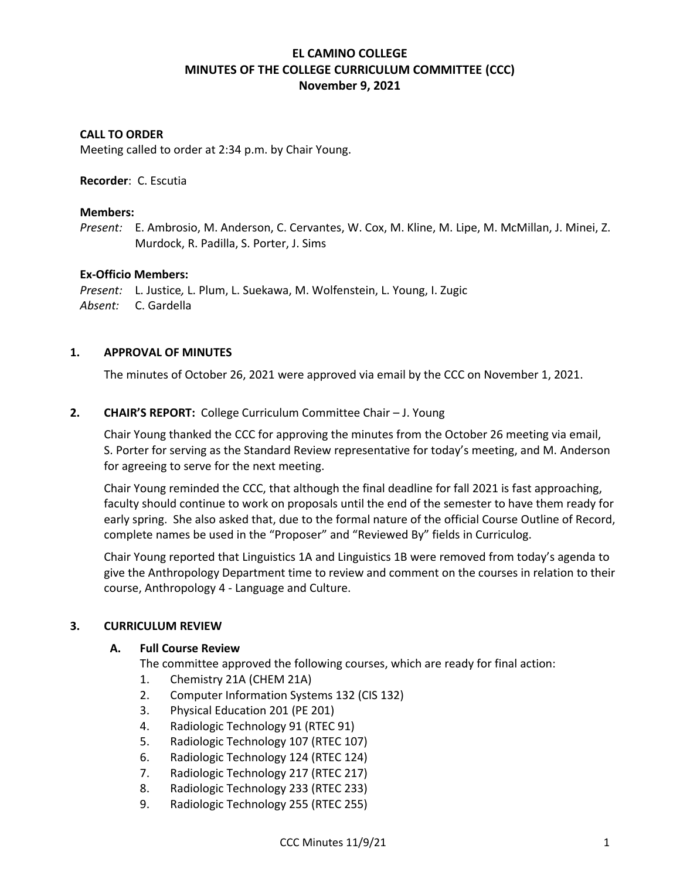# **EL CAMINO COLLEGE MINUTES OF THE COLLEGE CURRICULUM COMMITTEE (CCC) November 9, 2021**

### **CALL TO ORDER**

Meeting called to order at 2:34 p.m. by Chair Young.

**Recorder**: C. Escutia

#### **Members:**

*Present:* E. Ambrosio, M. Anderson, C. Cervantes, W. Cox, M. Kline, M. Lipe, M. McMillan, J. Minei, Z. Murdock, R. Padilla, S. Porter, J. Sims

#### **Ex-Officio Members:**

*Present:* L. Justice*,* L. Plum, L. Suekawa, M. Wolfenstein, L. Young, I. Zugic *Absent:* C. Gardella

#### **1. APPROVAL OF MINUTES**

The minutes of October 26, 2021 were approved via email by the CCC on November 1, 2021.

### **2. CHAIR'S REPORT:** College Curriculum Committee Chair – J. Young

Chair Young thanked the CCC for approving the minutes from the October 26 meeting via email, S. Porter for serving as the Standard Review representative for today's meeting, and M. Anderson for agreeing to serve for the next meeting.

Chair Young reminded the CCC, that although the final deadline for fall 2021 is fast approaching, faculty should continue to work on proposals until the end of the semester to have them ready for early spring. She also asked that, due to the formal nature of the official Course Outline of Record, complete names be used in the "Proposer" and "Reviewed By" fields in Curriculog.

Chair Young reported that Linguistics 1A and Linguistics 1B were removed from today's agenda to give the Anthropology Department time to review and comment on the courses in relation to their course, Anthropology 4 - Language and Culture.

### **3. CURRICULUM REVIEW**

### **A. Full Course Review**

The committee approved the following courses, which are ready for final action:

- 1. Chemistry 21A (CHEM 21A)
- 2. Computer Information Systems 132 (CIS 132)
- 3. Physical Education 201 (PE 201)
- 4. Radiologic Technology 91 (RTEC 91)
- 5. Radiologic Technology 107 (RTEC 107)
- 6. Radiologic Technology 124 (RTEC 124)
- 7. Radiologic Technology 217 (RTEC 217)
- 8. Radiologic Technology 233 (RTEC 233)
- 9. Radiologic Technology 255 (RTEC 255)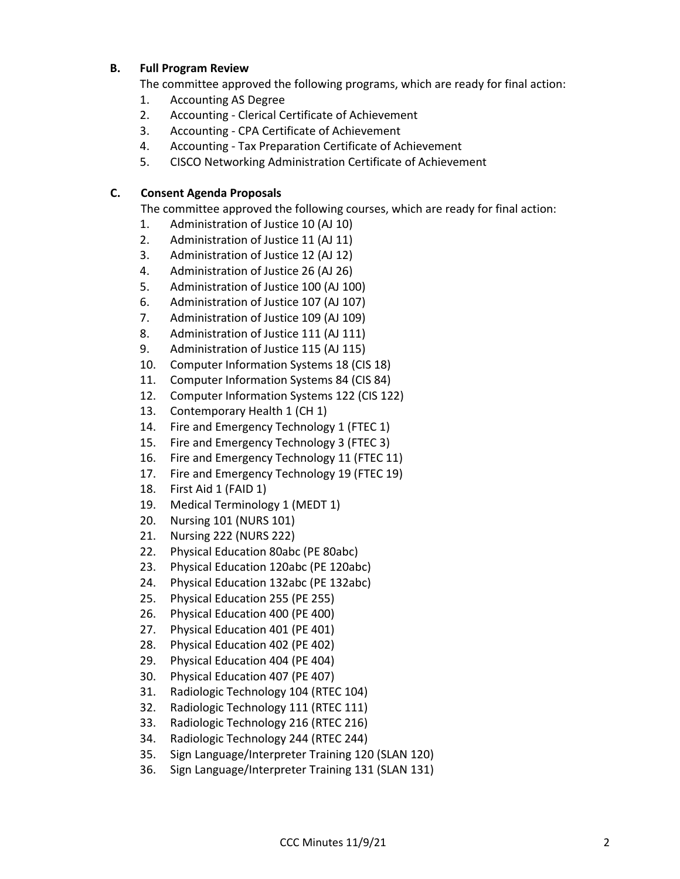# **B. Full Program Review**

The committee approved the following programs, which are ready for final action:

- 1. Accounting AS Degree
- 2. Accounting Clerical Certificate of Achievement
- 3. Accounting CPA Certificate of Achievement
- 4. Accounting Tax Preparation Certificate of Achievement
- 5. CISCO Networking Administration Certificate of Achievement

# **C. Consent Agenda Proposals**

The committee approved the following courses, which are ready for final action:

- 1. Administration of Justice 10 (AJ 10)
- 2. Administration of Justice 11 (AJ 11)
- 3. Administration of Justice 12 (AJ 12)
- 4. Administration of Justice 26 (AJ 26)
- 5. Administration of Justice 100 (AJ 100)
- 6. Administration of Justice 107 (AJ 107)
- 7. Administration of Justice 109 (AJ 109)
- 8. Administration of Justice 111 (AJ 111)
- 9. Administration of Justice 115 (AJ 115)
- 10. Computer Information Systems 18 (CIS 18)
- 11. Computer Information Systems 84 (CIS 84)
- 12. Computer Information Systems 122 (CIS 122)
- 13. Contemporary Health 1 (CH 1)
- 14. Fire and Emergency Technology 1 (FTEC 1)
- 15. Fire and Emergency Technology 3 (FTEC 3)
- 16. Fire and Emergency Technology 11 (FTEC 11)
- 17. Fire and Emergency Technology 19 (FTEC 19)
- 18. First Aid 1 (FAID 1)
- 19. Medical Terminology 1 (MEDT 1)
- 20. Nursing 101 (NURS 101)
- 21. Nursing 222 (NURS 222)
- 22. Physical Education 80abc (PE 80abc)
- 23. Physical Education 120abc (PE 120abc)
- 24. Physical Education 132abc (PE 132abc)
- 25. Physical Education 255 (PE 255)
- 26. Physical Education 400 (PE 400)
- 27. Physical Education 401 (PE 401)
- 28. Physical Education 402 (PE 402)
- 29. Physical Education 404 (PE 404)
- 30. Physical Education 407 (PE 407)
- 31. Radiologic Technology 104 (RTEC 104)
- 32. Radiologic Technology 111 (RTEC 111)
- 33. Radiologic Technology 216 (RTEC 216)
- 34. Radiologic Technology 244 (RTEC 244)
- 35. Sign Language/Interpreter Training 120 (SLAN 120)
- 36. Sign Language/Interpreter Training 131 (SLAN 131)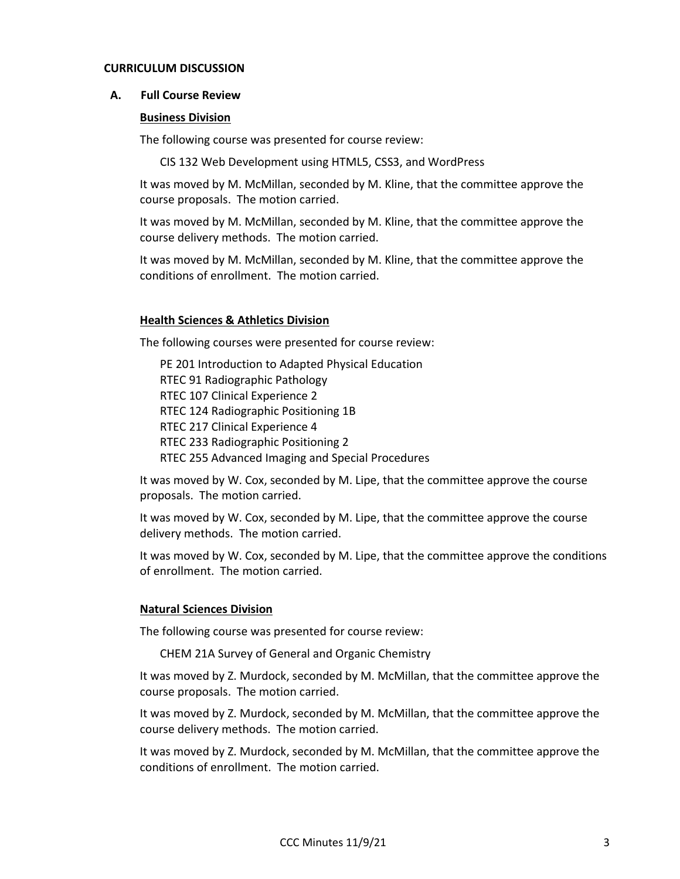#### **CURRICULUM DISCUSSION**

### **A. Full Course Review**

#### **Business Division**

The following course was presented for course review:

CIS 132 Web Development using HTML5, CSS3, and WordPress

It was moved by M. McMillan, seconded by M. Kline, that the committee approve the course proposals. The motion carried.

It was moved by M. McMillan, seconded by M. Kline, that the committee approve the course delivery methods. The motion carried.

It was moved by M. McMillan, seconded by M. Kline, that the committee approve the conditions of enrollment. The motion carried.

### **Health Sciences & Athletics Division**

The following courses were presented for course review:

PE 201 Introduction to Adapted Physical Education RTEC 91 Radiographic Pathology RTEC 107 Clinical Experience 2 RTEC 124 Radiographic Positioning 1B RTEC 217 Clinical Experience 4 RTEC 233 Radiographic Positioning 2 RTEC 255 Advanced Imaging and Special Procedures

It was moved by W. Cox, seconded by M. Lipe, that the committee approve the course proposals. The motion carried.

It was moved by W. Cox, seconded by M. Lipe, that the committee approve the course delivery methods. The motion carried.

It was moved by W. Cox, seconded by M. Lipe, that the committee approve the conditions of enrollment. The motion carried.

### **Natural Sciences Division**

The following course was presented for course review:

CHEM 21A Survey of General and Organic Chemistry

It was moved by Z. Murdock, seconded by M. McMillan, that the committee approve the course proposals. The motion carried.

It was moved by Z. Murdock, seconded by M. McMillan, that the committee approve the course delivery methods. The motion carried.

It was moved by Z. Murdock, seconded by M. McMillan, that the committee approve the conditions of enrollment. The motion carried.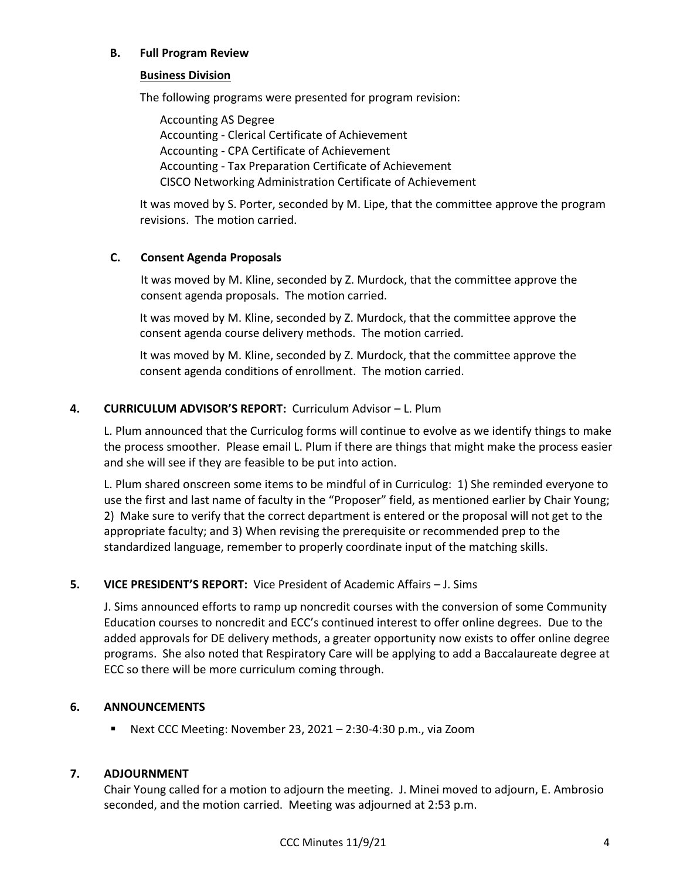## **B. Full Program Review**

### **Business Division**

The following programs were presented for program revision:

Accounting AS Degree Accounting - Clerical Certificate of Achievement Accounting - CPA Certificate of Achievement Accounting - Tax Preparation Certificate of Achievement CISCO Networking Administration Certificate of Achievement

It was moved by S. Porter, seconded by M. Lipe, that the committee approve the program revisions. The motion carried.

# **C. Consent Agenda Proposals**

It was moved by M. Kline, seconded by Z. Murdock, that the committee approve the consent agenda proposals. The motion carried.

It was moved by M. Kline, seconded by Z. Murdock, that the committee approve the consent agenda course delivery methods. The motion carried.

It was moved by M. Kline, seconded by Z. Murdock, that the committee approve the consent agenda conditions of enrollment. The motion carried.

# **4. CURRICULUM ADVISOR'S REPORT:** Curriculum Advisor – L. Plum

L. Plum announced that the Curriculog forms will continue to evolve as we identify things to make the process smoother. Please email L. Plum if there are things that might make the process easier and she will see if they are feasible to be put into action.

L. Plum shared onscreen some items to be mindful of in Curriculog: 1) She reminded everyone to use the first and last name of faculty in the "Proposer" field, as mentioned earlier by Chair Young; 2) Make sure to verify that the correct department is entered or the proposal will not get to the appropriate faculty; and 3) When revising the prerequisite or recommended prep to the standardized language, remember to properly coordinate input of the matching skills.

# **5. VICE PRESIDENT'S REPORT:** Vice President of Academic Affairs – J. Sims

J. Sims announced efforts to ramp up noncredit courses with the conversion of some Community Education courses to noncredit and ECC's continued interest to offer online degrees. Due to the added approvals for DE delivery methods, a greater opportunity now exists to offer online degree programs. She also noted that Respiratory Care will be applying to add a Baccalaureate degree at ECC so there will be more curriculum coming through.

# **6. ANNOUNCEMENTS**

**E** Next CCC Meeting: November 23, 2021 – 2:30-4:30 p.m., via Zoom

# **7. ADJOURNMENT**

Chair Young called for a motion to adjourn the meeting. J. Minei moved to adjourn, E. Ambrosio seconded, and the motion carried. Meeting was adjourned at 2:53 p.m.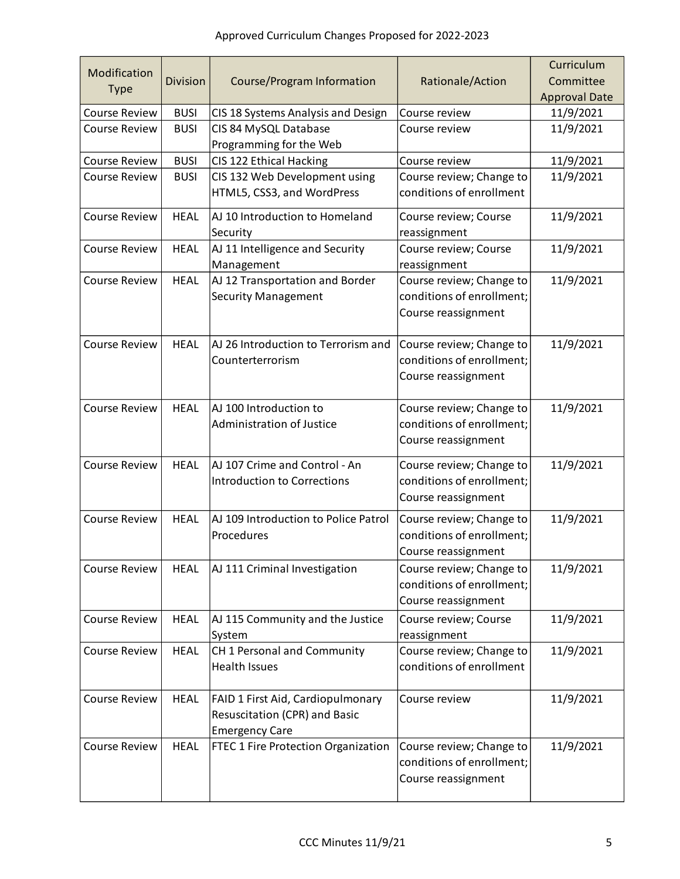| Modification         | <b>Division</b> | Course/Program Information                 | Rationale/Action          | Curriculum<br>Committee |
|----------------------|-----------------|--------------------------------------------|---------------------------|-------------------------|
| <b>Type</b>          |                 |                                            |                           | <b>Approval Date</b>    |
| <b>Course Review</b> | <b>BUSI</b>     | CIS 18 Systems Analysis and Design         | Course review             | 11/9/2021               |
| <b>Course Review</b> | <b>BUSI</b>     | CIS 84 MySQL Database                      | Course review             | 11/9/2021               |
|                      |                 | Programming for the Web                    |                           |                         |
| <b>Course Review</b> | <b>BUSI</b>     | CIS 122 Ethical Hacking                    | Course review             | 11/9/2021               |
| <b>Course Review</b> | <b>BUSI</b>     | CIS 132 Web Development using              | Course review; Change to  | 11/9/2021               |
|                      |                 | HTML5, CSS3, and WordPress                 | conditions of enrollment  |                         |
| <b>Course Review</b> | <b>HEAL</b>     | AJ 10 Introduction to Homeland             | Course review; Course     | 11/9/2021               |
|                      |                 | Security                                   | reassignment              |                         |
| <b>Course Review</b> | <b>HEAL</b>     | AJ 11 Intelligence and Security            | Course review; Course     | 11/9/2021               |
|                      |                 | Management                                 | reassignment              |                         |
| <b>Course Review</b> | <b>HEAL</b>     | AJ 12 Transportation and Border            | Course review; Change to  | 11/9/2021               |
|                      |                 | <b>Security Management</b>                 | conditions of enrollment; |                         |
|                      |                 |                                            | Course reassignment       |                         |
| <b>Course Review</b> | <b>HEAL</b>     | AJ 26 Introduction to Terrorism and        | Course review; Change to  | 11/9/2021               |
|                      |                 | Counterterrorism                           | conditions of enrollment; |                         |
|                      |                 |                                            | Course reassignment       |                         |
|                      |                 |                                            |                           |                         |
| <b>Course Review</b> | <b>HEAL</b>     | AJ 100 Introduction to                     | Course review; Change to  | 11/9/2021               |
|                      |                 | Administration of Justice                  | conditions of enrollment; |                         |
|                      |                 |                                            | Course reassignment       |                         |
| <b>Course Review</b> | <b>HEAL</b>     | AJ 107 Crime and Control - An              | Course review; Change to  | 11/9/2021               |
|                      |                 | Introduction to Corrections                | conditions of enrollment; |                         |
|                      |                 |                                            | Course reassignment       |                         |
| <b>Course Review</b> | <b>HEAL</b>     | AJ 109 Introduction to Police Patrol       | Course review; Change to  | 11/9/2021               |
|                      |                 | Procedures                                 | conditions of enrollment; |                         |
|                      |                 |                                            | Course reassignment       |                         |
| <b>Course Review</b> | <b>HEAL</b>     | AJ 111 Criminal Investigation              | Course review; Change to  | 11/9/2021               |
|                      |                 |                                            | conditions of enrollment; |                         |
|                      |                 |                                            | Course reassignment       |                         |
| <b>Course Review</b> | <b>HEAL</b>     | AJ 115 Community and the Justice           | Course review; Course     | 11/9/2021               |
|                      |                 | System                                     | reassignment              |                         |
| <b>Course Review</b> | <b>HEAL</b>     | CH 1 Personal and Community                | Course review; Change to  | 11/9/2021               |
|                      |                 | <b>Health Issues</b>                       | conditions of enrollment  |                         |
| <b>Course Review</b> | <b>HEAL</b>     | FAID 1 First Aid, Cardiopulmonary          | Course review             | 11/9/2021               |
|                      |                 | Resuscitation (CPR) and Basic              |                           |                         |
|                      |                 | <b>Emergency Care</b>                      |                           |                         |
| <b>Course Review</b> | <b>HEAL</b>     | <b>FTEC 1 Fire Protection Organization</b> | Course review; Change to  | 11/9/2021               |
|                      |                 |                                            | conditions of enrollment; |                         |
|                      |                 |                                            | Course reassignment       |                         |
|                      |                 |                                            |                           |                         |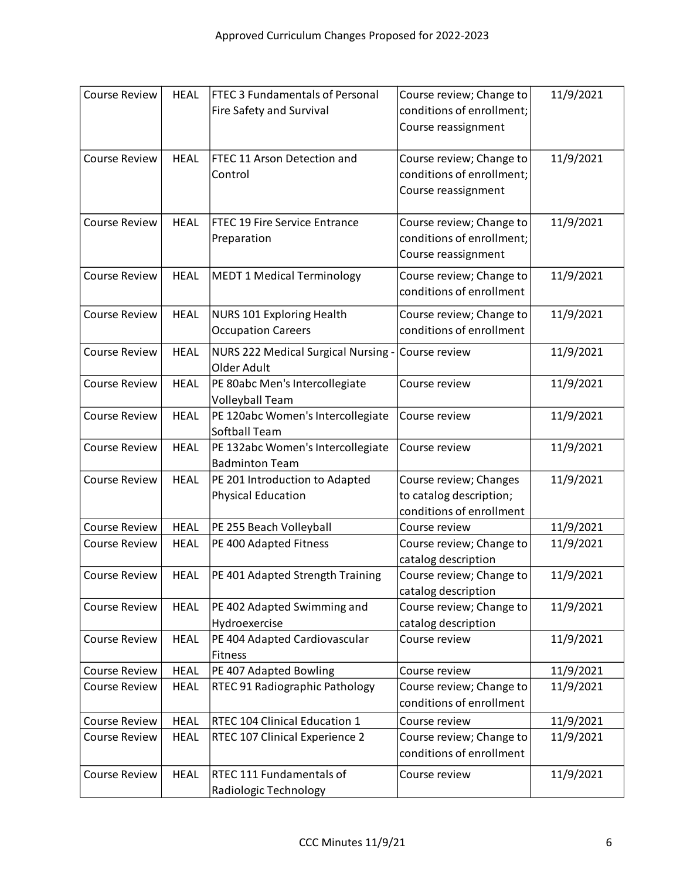| <b>Course Review</b> | <b>HEAL</b> | <b>FTEC 3 Fundamentals of Personal</b> | Course review; Change to  | 11/9/2021 |
|----------------------|-------------|----------------------------------------|---------------------------|-----------|
|                      |             | Fire Safety and Survival               | conditions of enrollment; |           |
|                      |             |                                        | Course reassignment       |           |
|                      |             |                                        |                           |           |
| <b>Course Review</b> | <b>HEAL</b> | FTEC 11 Arson Detection and            | Course review; Change to  | 11/9/2021 |
|                      |             | Control                                | conditions of enrollment; |           |
|                      |             |                                        | Course reassignment       |           |
|                      |             |                                        |                           |           |
| <b>Course Review</b> | <b>HEAL</b> | <b>FTEC 19 Fire Service Entrance</b>   | Course review; Change to  | 11/9/2021 |
|                      |             | Preparation                            | conditions of enrollment; |           |
|                      |             |                                        | Course reassignment       |           |
| <b>Course Review</b> | <b>HEAL</b> | <b>MEDT 1 Medical Terminology</b>      | Course review; Change to  | 11/9/2021 |
|                      |             |                                        | conditions of enrollment  |           |
|                      |             |                                        |                           |           |
| <b>Course Review</b> | <b>HEAL</b> | <b>NURS 101 Exploring Health</b>       | Course review; Change to  | 11/9/2021 |
|                      |             | <b>Occupation Careers</b>              | conditions of enrollment  |           |
| <b>Course Review</b> | <b>HEAL</b> | NURS 222 Medical Surgical Nursing -    | Course review             | 11/9/2021 |
|                      |             | Older Adult                            |                           |           |
| <b>Course Review</b> | <b>HEAL</b> | PE 80abc Men's Intercollegiate         | Course review             | 11/9/2021 |
|                      |             | <b>Volleyball Team</b>                 |                           |           |
| <b>Course Review</b> | <b>HEAL</b> | PE 120abc Women's Intercollegiate      | Course review             | 11/9/2021 |
|                      |             | Softball Team                          |                           |           |
| <b>Course Review</b> | <b>HEAL</b> | PE 132abc Women's Intercollegiate      | Course review             | 11/9/2021 |
|                      |             | <b>Badminton Team</b>                  |                           |           |
| <b>Course Review</b> | <b>HEAL</b> | PE 201 Introduction to Adapted         | Course review; Changes    | 11/9/2021 |
|                      |             | <b>Physical Education</b>              | to catalog description;   |           |
|                      |             |                                        | conditions of enrollment  |           |
| <b>Course Review</b> | <b>HEAL</b> | PE 255 Beach Volleyball                | Course review             | 11/9/2021 |
| <b>Course Review</b> | <b>HEAL</b> | PE 400 Adapted Fitness                 | Course review; Change to  | 11/9/2021 |
|                      |             |                                        | catalog description       |           |
| <b>Course Review</b> | <b>HEAL</b> | PE 401 Adapted Strength Training       | Course review; Change to  | 11/9/2021 |
|                      |             |                                        | catalog description       |           |
| <b>Course Review</b> | <b>HEAL</b> | PE 402 Adapted Swimming and            | Course review; Change to  | 11/9/2021 |
|                      |             | Hydroexercise                          | catalog description       |           |
| <b>Course Review</b> | <b>HEAL</b> | PE 404 Adapted Cardiovascular          | Course review             | 11/9/2021 |
|                      |             | Fitness                                |                           |           |
| <b>Course Review</b> | <b>HEAL</b> | PE 407 Adapted Bowling                 | Course review             | 11/9/2021 |
| <b>Course Review</b> | <b>HEAL</b> | RTEC 91 Radiographic Pathology         | Course review; Change to  | 11/9/2021 |
|                      |             |                                        | conditions of enrollment  |           |
| <b>Course Review</b> | <b>HEAL</b> | RTEC 104 Clinical Education 1          | Course review             | 11/9/2021 |
| <b>Course Review</b> | <b>HEAL</b> | RTEC 107 Clinical Experience 2         | Course review; Change to  | 11/9/2021 |
|                      |             |                                        | conditions of enrollment  |           |
| <b>Course Review</b> | <b>HEAL</b> | RTEC 111 Fundamentals of               | Course review             | 11/9/2021 |
|                      |             | Radiologic Technology                  |                           |           |